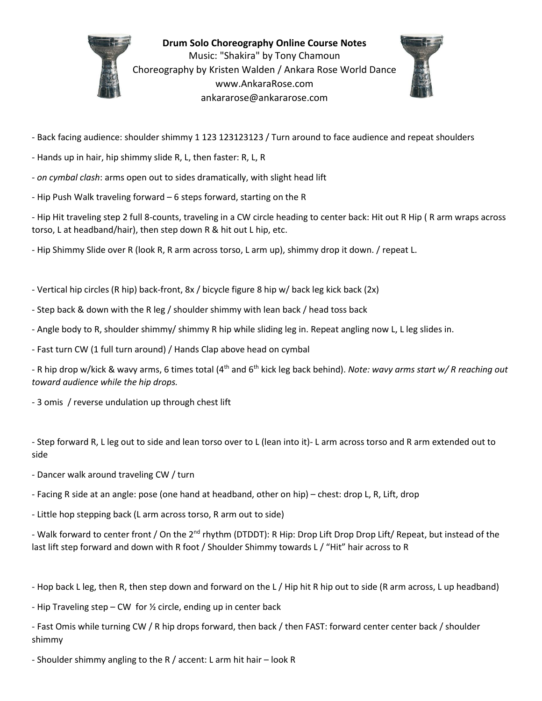

**Drum Solo Choreography Online Course Notes** Music: "Shakira" by Tony Chamoun Choreography by Kristen Walden / Ankara Rose World Dance [www.AnkaraRose.com](http://www.ankararose.com/) ankararose@ankararose.com



- Back facing audience: shoulder shimmy 1 123 123123123 / Turn around to face audience and repeat shoulders

- Hands up in hair, hip shimmy slide R, L, then faster: R, L, R
- *on cymbal clash*: arms open out to sides dramatically, with slight head lift
- Hip Push Walk traveling forward 6 steps forward, starting on the R

- Hip Hit traveling step 2 full 8-counts, traveling in a CW circle heading to center back: Hit out R Hip ( R arm wraps across torso, L at headband/hair), then step down R & hit out L hip, etc.

- Hip Shimmy Slide over R (look R, R arm across torso, L arm up), shimmy drop it down. / repeat L.

- Vertical hip circles (R hip) back-front, 8x / bicycle figure 8 hip w/ back leg kick back (2x)

- Step back & down with the R leg / shoulder shimmy with lean back / head toss back
- Angle body to R, shoulder shimmy/ shimmy R hip while sliding leg in. Repeat angling now L, L leg slides in.
- Fast turn CW (1 full turn around) / Hands Clap above head on cymbal

- R hip drop w/kick & wavy arms, 6 times total (4<sup>th</sup> and 6<sup>th</sup> kick leg back behind). *Note: wavy arms start w/ R reaching out toward audience while the hip drops.*

- 3 omis / reverse undulation up through chest lift

- Step forward R, L leg out to side and lean torso over to L (lean into it)- L arm across torso and R arm extended out to side

- Dancer walk around traveling CW / turn
- Facing R side at an angle: pose (one hand at headband, other on hip) chest: drop L, R, Lift, drop
- Little hop stepping back (L arm across torso, R arm out to side)

- Walk forward to center front / On the 2<sup>nd</sup> rhythm (DTDDT): R Hip: Drop Lift Drop Drop Lift/ Repeat, but instead of the last lift step forward and down with R foot / Shoulder Shimmy towards L / "Hit" hair across to R

- Hop back L leg, then R, then step down and forward on the L / Hip hit R hip out to side (R arm across, L up headband)

- Hip Traveling step – CW for  $\frac{1}{2}$  circle, ending up in center back

- Fast Omis while turning CW / R hip drops forward, then back / then FAST: forward center center back / shoulder shimmy

- Shoulder shimmy angling to the R / accent: L arm hit hair – look R